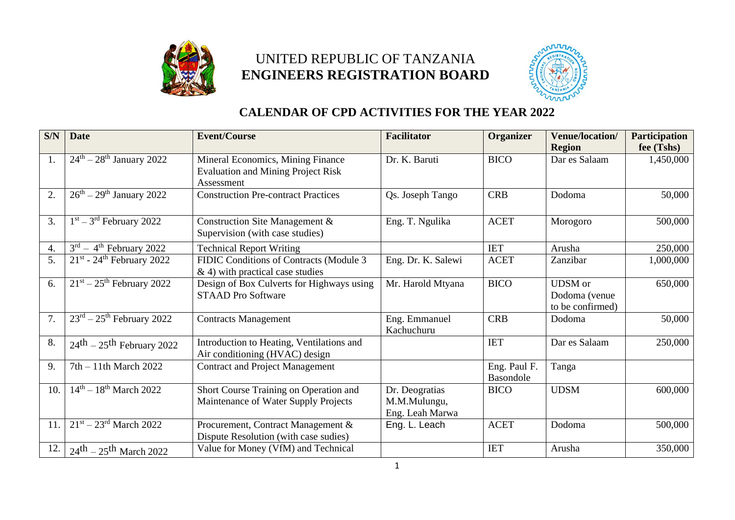

## UNITED REPUBLIC OF TANZANIA **ENGINEERS REGISTRATION BOARD**



## **CALENDAR OF CPD ACTIVITIES FOR THE YEAR 2022**

| S/N              | <b>Date</b>                                          | <b>Event/Course</b>                                                                          | <b>Facilitator</b>                                | Organizer                 | <b>Venue/location/</b><br><b>Region</b>             | <b>Participation</b><br>fee (Tshs) |
|------------------|------------------------------------------------------|----------------------------------------------------------------------------------------------|---------------------------------------------------|---------------------------|-----------------------------------------------------|------------------------------------|
| 1.               | $24th - 28th$ January 2022                           | Mineral Economics, Mining Finance<br><b>Evaluation and Mining Project Risk</b><br>Assessment | Dr. K. Baruti                                     | <b>BICO</b>               | Dar es Salaam                                       | 1,450,000                          |
| $\overline{2}$ . | $\overline{26^{th}} - 29^{th}$ January 2022          | <b>Construction Pre-contract Practices</b>                                                   | Qs. Joseph Tango                                  | <b>CRB</b>                | Dodoma                                              | 50,000                             |
| 3.               | $1st - 3rd$ February 2022                            | Construction Site Management &<br>Supervision (with case studies)                            | Eng. T. Ngulika                                   | <b>ACET</b>               | Morogoro                                            | 500,000                            |
| 4.               | $3rd - 4th$ February 2022                            | <b>Technical Report Writing</b>                                                              |                                                   | <b>IET</b>                | Arusha                                              | 250,000                            |
| 5.               | $21st$ - 24 <sup>th</sup> February 2022              | FIDIC Conditions of Contracts (Module 3<br>$\&$ 4) with practical case studies               | Eng. Dr. K. Salewi                                | <b>ACET</b>               | Zanzibar                                            | 1,000,000                          |
| 6.               | $21st - 25th$ February 2022                          | Design of Box Culverts for Highways using<br><b>STAAD Pro Software</b>                       | Mr. Harold Mtyana                                 | <b>BICO</b>               | <b>UDSM</b> or<br>Dodoma (venue<br>to be confirmed) | 650,000                            |
| 7.               | $23^{\text{rd}} - 25^{\text{th}}$ February 2022      | <b>Contracts Management</b>                                                                  | Eng. Emmanuel<br>Kachuchuru                       | <b>CRB</b>                | Dodoma                                              | 50,000                             |
| 8.               | $24$ <sup>th</sup> $-25$ <sup>th</sup> February 2022 | Introduction to Heating, Ventilations and<br>Air conditioning (HVAC) design                  |                                                   | <b>IET</b>                | Dar es Salaam                                       | 250,000                            |
| 9.               | $7th - 11th$ March 2022                              | <b>Contract and Project Management</b>                                                       |                                                   | Eng. Paul F.<br>Basondole | Tanga                                               |                                    |
| 10.              | $14^{th} - 18^{th}$ March 2022                       | Short Course Training on Operation and<br>Maintenance of Water Supply Projects               | Dr. Deogratias<br>M.M.Mulungu,<br>Eng. Leah Marwa | <b>BICO</b>               | <b>UDSM</b>                                         | 600,000                            |
| 11.              | $21^{st} - 23^{rd}$ March 2022                       | Procurement, Contract Management &<br>Dispute Resolution (with case sudies)                  | Eng. L. Leach                                     | <b>ACET</b>               | Dodoma                                              | 500,000                            |
| 12.              | $24$ <sup>th</sup> $-25$ <sup>th</sup> March 2022    | Value for Money (VfM) and Technical                                                          |                                                   | <b>IET</b>                | Arusha                                              | 350,000                            |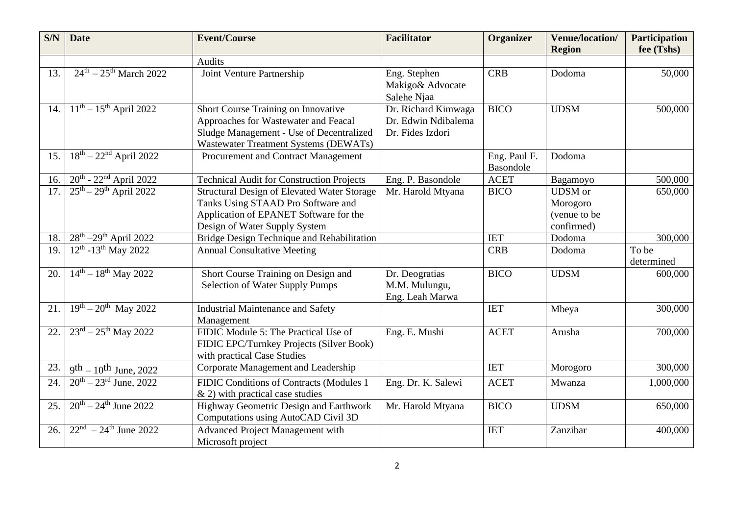| S/N | <b>Date</b>                                   | <b>Event/Course</b>                                                                                                                                                 | <b>Facilitator</b>                                             | Organizer                 | <b>Venue/location/</b><br><b>Region</b>                  | <b>Participation</b><br>fee (Tshs) |
|-----|-----------------------------------------------|---------------------------------------------------------------------------------------------------------------------------------------------------------------------|----------------------------------------------------------------|---------------------------|----------------------------------------------------------|------------------------------------|
|     |                                               | Audits                                                                                                                                                              |                                                                |                           |                                                          |                                    |
| 13. | $24^{\text{th}} - 25^{\text{th}}$ March 2022  | Joint Venture Partnership                                                                                                                                           | Eng. Stephen<br>Makigo& Advocate<br>Salehe Njaa                | <b>CRB</b>                | Dodoma                                                   | 50,000                             |
| 14. | $11^{th} - 15^{th}$ April 2022                | Short Course Training on Innovative<br>Approaches for Wastewater and Feacal<br>Sludge Management - Use of Decentralized<br>Wastewater Treatment Systems (DEWATs)    | Dr. Richard Kimwaga<br>Dr. Edwin Ndibalema<br>Dr. Fides Izdori | <b>BICO</b>               | <b>UDSM</b>                                              | 500,000                            |
| 15. | $18^{th} - 22^{nd}$ April 2022                | Procurement and Contract Management                                                                                                                                 |                                                                | Eng. Paul F.<br>Basondole | Dodoma                                                   |                                    |
| 16. | $20^{th}$ - $22^{nd}$ April 2022              | <b>Technical Audit for Construction Projects</b>                                                                                                                    | Eng. P. Basondole                                              | <b>ACET</b>               | Bagamoyo                                                 | 500,000                            |
| 17. | $25^{th} - 29^{th}$ April 2022                | <b>Structural Design of Elevated Water Storage</b><br>Tanks Using STAAD Pro Software and<br>Application of EPANET Software for the<br>Design of Water Supply System | Mr. Harold Mtyana                                              | <b>BICO</b>               | <b>UDSM</b> or<br>Morogoro<br>(venue to be<br>confirmed) | 650,000                            |
| 18. | $28^{th} - 29^{th}$ April 2022                | Bridge Design Technique and Rehabilitation                                                                                                                          |                                                                | <b>IET</b>                | Dodoma                                                   | 300,000                            |
| 19. | $12^{th}$ -13 <sup>th</sup> May 2022          | <b>Annual Consultative Meeting</b>                                                                                                                                  |                                                                | <b>CRB</b>                | Dodoma                                                   | To be<br>determined                |
| 20. | $14^{th} - 18^{th}$ May 2022                  | Short Course Training on Design and<br><b>Selection of Water Supply Pumps</b>                                                                                       | Dr. Deogratias<br>M.M. Mulungu,<br>Eng. Leah Marwa             | <b>BICO</b>               | <b>UDSM</b>                                              | 600,000                            |
| 21. | $\sqrt{19^{th} - 20^{th}}$ May 2022           | <b>Industrial Maintenance and Safety</b><br>Management                                                                                                              |                                                                | <b>IET</b>                | Mbeya                                                    | 300,000                            |
| 22. | $23^{\text{rd}} - 25^{\text{th}}$ May 2022    | FIDIC Module 5: The Practical Use of<br>FIDIC EPC/Turnkey Projects (Silver Book)<br>with practical Case Studies                                                     | Eng. E. Mushi                                                  | <b>ACET</b>               | Arusha                                                   | 700,000                            |
| 23. | $9^{th} - 10^{th}$ June, 2022                 | Corporate Management and Leadership                                                                                                                                 |                                                                | <b>IET</b>                | Morogoro                                                 | 300,000                            |
| 24. | $20^{th} - 23^{rd}$ June, 2022                | FIDIC Conditions of Contracts (Modules 1<br>$\&$ 2) with practical case studies                                                                                     | Eng. Dr. K. Salewi                                             | <b>ACET</b>               | Mwanza                                                   | 1,000,000                          |
| 25. | $20^{th} - 24^{th}$ June 2022                 | Highway Geometric Design and Earthwork<br>Computations using AutoCAD Civil 3D                                                                                       | Mr. Harold Mtyana                                              | <b>BICO</b>               | <b>UDSM</b>                                              | 650,000                            |
| 26. | $\sqrt{22^{nd} - 24^{th} \text{ June } 2022}$ | Advanced Project Management with<br>Microsoft project                                                                                                               |                                                                | <b>IET</b>                | Zanzibar                                                 | 400,000                            |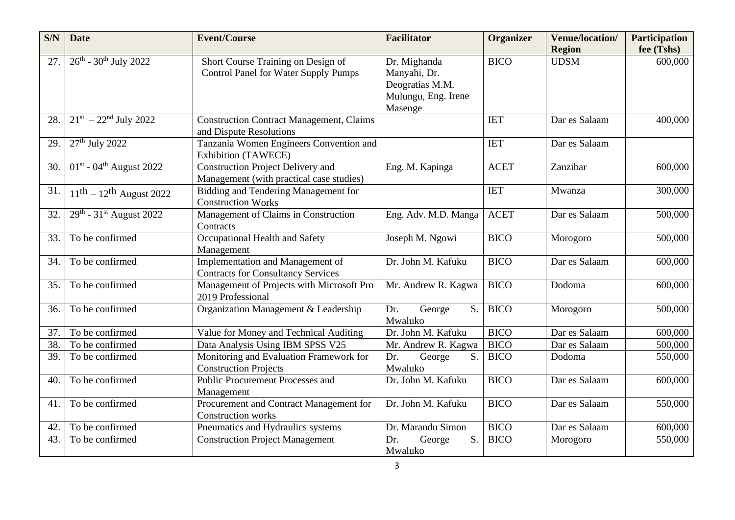| S/N | <b>Date</b>                                                  | <b>Event/Course</b>                                                                  | <b>Facilitator</b>                                                                | <b>Organizer</b> | <b>Venue/location/</b><br><b>Region</b> | <b>Participation</b><br>fee (Tshs) |
|-----|--------------------------------------------------------------|--------------------------------------------------------------------------------------|-----------------------------------------------------------------------------------|------------------|-----------------------------------------|------------------------------------|
| 27. | $26^{th}$ - 30 <sup>th</sup> July 2022                       | Short Course Training on Design of<br><b>Control Panel for Water Supply Pumps</b>    | Dr. Mighanda<br>Manyahi, Dr.<br>Deogratias M.M.<br>Mulungu, Eng. Irene<br>Masenge | <b>BICO</b>      | <b>UDSM</b>                             | 600,000                            |
| 28. | $21^{st} - 22^{nd}$ July 2022                                | <b>Construction Contract Management, Claims</b><br>and Dispute Resolutions           |                                                                                   | <b>IET</b>       | Dar es Salaam                           | 400,000                            |
| 29. | $27th$ July 2022                                             | Tanzania Women Engineers Convention and<br><b>Exhibition (TAWECE)</b>                |                                                                                   | <b>IET</b>       | Dar es Salaam                           |                                    |
| 30. | $\overline{01}$ <sup>st</sup> - 04 <sup>th</sup> August 2022 | <b>Construction Project Delivery and</b><br>Management (with practical case studies) | Eng. M. Kapinga                                                                   | <b>ACET</b>      | Zanzibar                                | 600,000                            |
| 31. | $11^{\text{th}} - 12^{\text{th}}$ August 2022                | Bidding and Tendering Management for<br><b>Construction Works</b>                    |                                                                                   | <b>IET</b>       | Mwanza                                  | 300,000                            |
| 32. | $29^{th}$ - 31st August 2022                                 | Management of Claims in Construction<br>Contracts                                    | Eng. Adv. M.D. Manga                                                              | <b>ACET</b>      | Dar es Salaam                           | 500,000                            |
| 33. | To be confirmed                                              | Occupational Health and Safety<br>Management                                         | Joseph M. Ngowi                                                                   | <b>BICO</b>      | Morogoro                                | 500,000                            |
| 34. | To be confirmed                                              | Implementation and Management of<br><b>Contracts for Consultancy Services</b>        | Dr. John M. Kafuku                                                                | <b>BICO</b>      | Dar es Salaam                           | 600,000                            |
| 35. | To be confirmed                                              | Management of Projects with Microsoft Pro<br>2019 Professional                       | Mr. Andrew R. Kagwa                                                               | <b>BICO</b>      | Dodoma                                  | 600,000                            |
| 36. | To be confirmed                                              | Organization Management & Leadership                                                 | Dr.<br>S.<br>George<br>Mwaluko                                                    | <b>BICO</b>      | Morogoro                                | 500,000                            |
| 37. | To be confirmed                                              | Value for Money and Technical Auditing                                               | Dr. John M. Kafuku                                                                | <b>BICO</b>      | Dar es Salaam                           | 600,000                            |
| 38. | To be confirmed                                              | Data Analysis Using IBM SPSS V25                                                     | Mr. Andrew R. Kagwa                                                               | <b>BICO</b>      | Dar es Salaam                           | 500,000                            |
| 39. | To be confirmed                                              | Monitoring and Evaluation Framework for<br><b>Construction Projects</b>              | S.<br>Dr.<br>George<br>Mwaluko                                                    | <b>BICO</b>      | Dodoma                                  | 550,000                            |
| 40. | To be confirmed                                              | Public Procurement Processes and<br>Management                                       | Dr. John M. Kafuku                                                                | <b>BICO</b>      | Dar es Salaam                           | 600,000                            |
| 41. | To be confirmed                                              | Procurement and Contract Management for<br><b>Construction works</b>                 | Dr. John M. Kafuku                                                                | <b>BICO</b>      | Dar es Salaam                           | 550,000                            |
| 42. | To be confirmed                                              | Pneumatics and Hydraulics systems                                                    | Dr. Marandu Simon                                                                 | <b>BICO</b>      | Dar es Salaam                           | 600,000                            |
| 43. | To be confirmed                                              | <b>Construction Project Management</b>                                               | Dr.<br>George<br>S.<br>Mwaluko                                                    | <b>BICO</b>      | Morogoro                                | 550,000                            |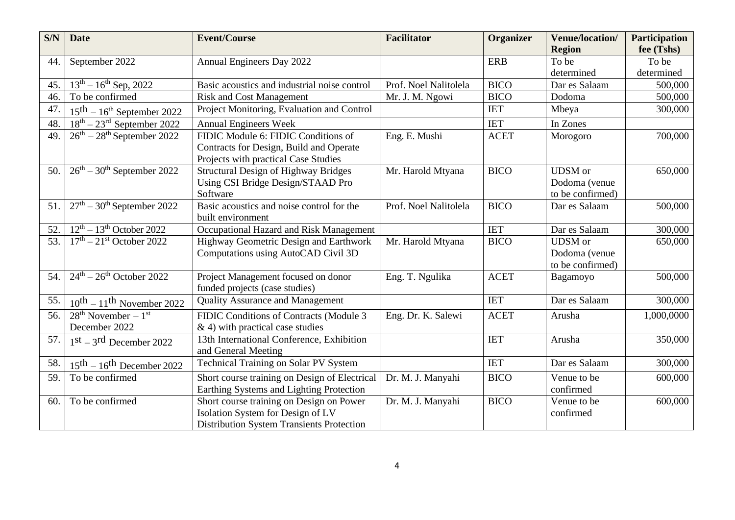| S/N | <b>Date</b>                                      | <b>Event/Course</b>                                                             | <b>Facilitator</b>    | Organizer   | <b>Venue/location/</b><br><b>Region</b> | <b>Participation</b><br>fee (Tshs) |
|-----|--------------------------------------------------|---------------------------------------------------------------------------------|-----------------------|-------------|-----------------------------------------|------------------------------------|
| 44. | September 2022                                   | Annual Engineers Day 2022                                                       |                       | <b>ERB</b>  | To be                                   | To be                              |
|     |                                                  |                                                                                 |                       |             | determined                              | determined                         |
| 45. | $13^{th} - 16^{th}$ Sep, 2022                    | Basic acoustics and industrial noise control                                    | Prof. Noel Nalitolela | <b>BICO</b> | Dar es Salaam                           | 500,000                            |
| 46. | To be confirmed                                  | <b>Risk and Cost Management</b>                                                 | Mr. J. M. Ngowi       | <b>BICO</b> | Dodoma                                  | 500,000                            |
| 47. | $15^{\text{th}} - 16^{\text{th}}$ September 2022 | Project Monitoring, Evaluation and Control                                      |                       | <b>IET</b>  | Mbeya                                   | 300,000                            |
| 48. | $18th - 23rd$ September 2022                     | <b>Annual Engineers Week</b>                                                    |                       | <b>IET</b>  | In Zones                                |                                    |
| 49. | $26^{\text{th}} - 28^{\text{th}}$ September 2022 | FIDIC Module 6: FIDIC Conditions of                                             | Eng. E. Mushi         | <b>ACET</b> | Morogoro                                | 700,000                            |
|     |                                                  | Contracts for Design, Build and Operate<br>Projects with practical Case Studies |                       |             |                                         |                                    |
| 50. | $26th - 30th$ September 2022                     | <b>Structural Design of Highway Bridges</b>                                     | Mr. Harold Mtyana     | <b>BICO</b> | <b>UDSM</b> or                          | 650,000                            |
|     |                                                  | Using CSI Bridge Design/STAAD Pro                                               |                       |             | Dodoma (venue                           |                                    |
|     |                                                  | Software                                                                        |                       |             | to be confirmed)                        |                                    |
| 51. | $27th - 30th$ September 2022                     | Basic acoustics and noise control for the<br>built environment                  | Prof. Noel Nalitolela | <b>BICO</b> | Dar es Salaam                           | 500,000                            |
| 52. | $12th - 13th$ October 2022                       | Occupational Hazard and Risk Management                                         |                       | <b>IET</b>  | Dar es Salaam                           | 300,000                            |
| 53. | $17th - 21st$ October 2022                       | Highway Geometric Design and Earthwork                                          | Mr. Harold Mtyana     | <b>BICO</b> | <b>UDSM</b> or                          | 650,000                            |
|     |                                                  | Computations using AutoCAD Civil 3D                                             |                       |             | Dodoma (venue                           |                                    |
|     |                                                  |                                                                                 |                       |             | to be confirmed)                        |                                    |
| 54. | $24th - 26th$ October 2022                       | Project Management focused on donor                                             | Eng. T. Ngulika       | <b>ACET</b> | Bagamoyo                                | 500,000                            |
|     |                                                  | funded projects (case studies)                                                  |                       |             |                                         |                                    |
| 55. | $10^{th} - 11^{th}$ November 2022                | <b>Quality Assurance and Management</b>                                         |                       | <b>IET</b>  | Dar es Salaam                           | 300,000                            |
| 56. | $28th$ November – $1st$                          | FIDIC Conditions of Contracts (Module 3                                         | Eng. Dr. K. Salewi    | <b>ACET</b> | Arusha                                  | 1,000,0000                         |
|     | December 2022                                    | $\&$ 4) with practical case studies                                             |                       |             |                                         |                                    |
| 57. | $1st - 3rd$ December 2022                        | 13th International Conference, Exhibition<br>and General Meeting                |                       | <b>IET</b>  | Arusha                                  | 350,000                            |
| 58. | $15th - 16th$ December 2022                      | <b>Technical Training on Solar PV System</b>                                    |                       | <b>IET</b>  | Dar es Salaam                           | 300,000                            |
| 59. | To be confirmed                                  | Short course training on Design of Electrical                                   | Dr. M. J. Manyahi     | <b>BICO</b> | Venue to be                             | 600,000                            |
|     |                                                  | Earthing Systems and Lighting Protection                                        |                       |             | confirmed                               |                                    |
| 60. | To be confirmed                                  | Short course training on Design on Power                                        | Dr. M. J. Manyahi     | <b>BICO</b> | Venue to be                             | 600,000                            |
|     |                                                  | Isolation System for Design of LV                                               |                       |             | confirmed                               |                                    |
|     |                                                  | <b>Distribution System Transients Protection</b>                                |                       |             |                                         |                                    |